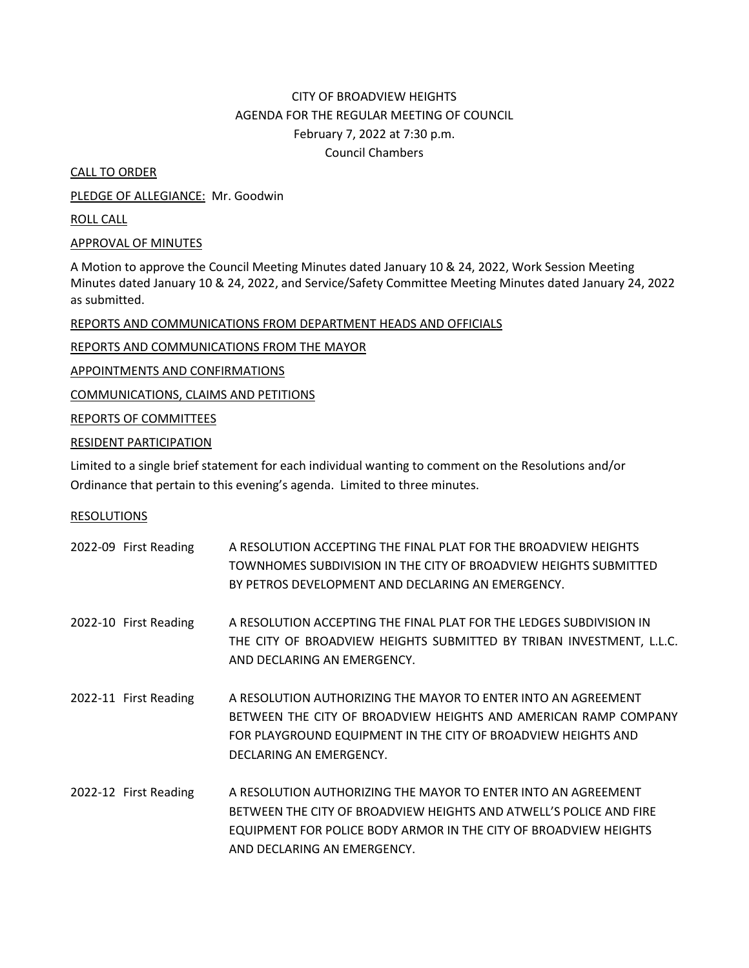# CITY OF BROADVIEW HEIGHTS AGENDA FOR THE REGULAR MEETING OF COUNCIL February 7, 2022 at 7:30 p.m. Council Chambers

CALL TO ORDER

PLEDGE OF ALLEGIANCE: Mr. Goodwin

ROLL CALL

APPROVAL OF MINUTES

A Motion to approve the Council Meeting Minutes dated January 10 & 24, 2022, Work Session Meeting Minutes dated January 10 & 24, 2022, and Service/Safety Committee Meeting Minutes dated January 24, 2022 as submitted.

REPORTS AND COMMUNICATIONS FROM DEPARTMENT HEADS AND OFFICIALS

REPORTS AND COMMUNICATIONS FROM THE MAYOR

APPOINTMENTS AND CONFIRMATIONS

COMMUNICATIONS, CLAIMS AND PETITIONS

REPORTS OF COMMITTEES

RESIDENT PARTICIPATION

Limited to a single brief statement for each individual wanting to comment on the Resolutions and/or Ordinance that pertain to this evening's agenda. Limited to three minutes.

## RESOLUTIONS

| 2022-09 First Reading | A RESOLUTION ACCEPTING THE FINAL PLAT FOR THE BROADVIEW HEIGHTS<br>TOWNHOMES SUBDIVISION IN THE CITY OF BROADVIEW HEIGHTS SUBMITTED<br>BY PETROS DEVELOPMENT AND DECLARING AN EMERGENCY.                                               |
|-----------------------|----------------------------------------------------------------------------------------------------------------------------------------------------------------------------------------------------------------------------------------|
| 2022-10 First Reading | A RESOLUTION ACCEPTING THE FINAL PLAT FOR THE LEDGES SUBDIVISION IN<br>THE CITY OF BROADVIEW HEIGHTS SUBMITTED BY TRIBAN INVESTMENT, L.L.C.<br>AND DECLARING AN EMERGENCY.                                                             |
| 2022-11 First Reading | A RESOLUTION AUTHORIZING THE MAYOR TO ENTER INTO AN AGREEMENT<br>BETWEEN THE CITY OF BROADVIEW HEIGHTS AND AMERICAN RAMP COMPANY<br>FOR PLAYGROUND EQUIPMENT IN THE CITY OF BROADVIEW HEIGHTS AND<br>DECLARING AN EMERGENCY.           |
| 2022-12 First Reading | A RESOLUTION AUTHORIZING THE MAYOR TO ENTER INTO AN AGREEMENT<br>BETWEEN THE CITY OF BROADVIEW HEIGHTS AND ATWELL'S POLICE AND FIRE<br>EQUIPMENT FOR POLICE BODY ARMOR IN THE CITY OF BROADVIEW HEIGHTS<br>AND DECLARING AN EMERGENCY. |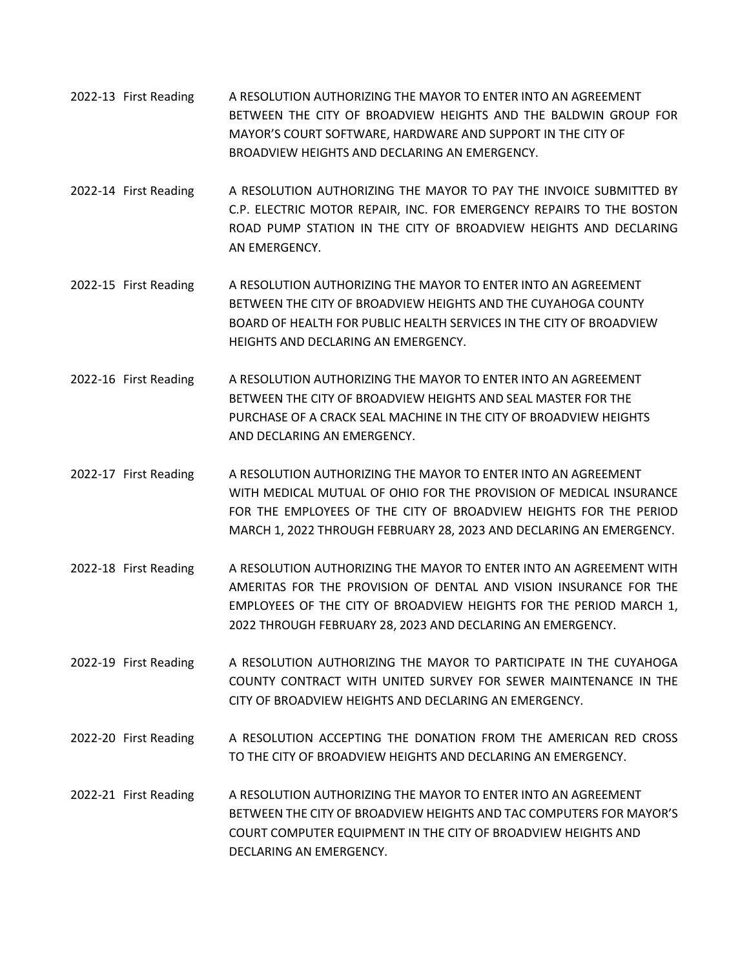- 2022-13 First Reading A RESOLUTION AUTHORIZING THE MAYOR TO ENTER INTO AN AGREEMENT BETWEEN THE CITY OF BROADVIEW HEIGHTS AND THE BALDWIN GROUP FOR MAYOR'S COURT SOFTWARE, HARDWARE AND SUPPORT IN THE CITY OF BROADVIEW HEIGHTS AND DECLARING AN EMERGENCY.
- 2022-14 First Reading A RESOLUTION AUTHORIZING THE MAYOR TO PAY THE INVOICE SUBMITTED BY C.P. ELECTRIC MOTOR REPAIR, INC. FOR EMERGENCY REPAIRS TO THE BOSTON ROAD PUMP STATION IN THE CITY OF BROADVIEW HEIGHTS AND DECLARING AN EMERGENCY.
- 2022-15 First Reading A RESOLUTION AUTHORIZING THE MAYOR TO ENTER INTO AN AGREEMENT BETWEEN THE CITY OF BROADVIEW HEIGHTS AND THE CUYAHOGA COUNTY BOARD OF HEALTH FOR PUBLIC HEALTH SERVICES IN THE CITY OF BROADVIEW HEIGHTS AND DECLARING AN EMERGENCY.
- 2022-16 First Reading A RESOLUTION AUTHORIZING THE MAYOR TO ENTER INTO AN AGREEMENT BETWEEN THE CITY OF BROADVIEW HEIGHTS AND SEAL MASTER FOR THE PURCHASE OF A CRACK SEAL MACHINE IN THE CITY OF BROADVIEW HEIGHTS AND DECLARING AN EMERGENCY.
- 2022-17 First Reading A RESOLUTION AUTHORIZING THE MAYOR TO ENTER INTO AN AGREEMENT WITH MEDICAL MUTUAL OF OHIO FOR THE PROVISION OF MEDICAL INSURANCE FOR THE EMPLOYEES OF THE CITY OF BROADVIEW HEIGHTS FOR THE PERIOD MARCH 1, 2022 THROUGH FEBRUARY 28, 2023 AND DECLARING AN EMERGENCY.
- 2022-18 First Reading A RESOLUTION AUTHORIZING THE MAYOR TO ENTER INTO AN AGREEMENT WITH AMERITAS FOR THE PROVISION OF DENTAL AND VISION INSURANCE FOR THE EMPLOYEES OF THE CITY OF BROADVIEW HEIGHTS FOR THE PERIOD MARCH 1, 2022 THROUGH FEBRUARY 28, 2023 AND DECLARING AN EMERGENCY.
- 2022-19 First Reading A RESOLUTION AUTHORIZING THE MAYOR TO PARTICIPATE IN THE CUYAHOGA COUNTY CONTRACT WITH UNITED SURVEY FOR SEWER MAINTENANCE IN THE CITY OF BROADVIEW HEIGHTS AND DECLARING AN EMERGENCY.
- 2022-20 First Reading A RESOLUTION ACCEPTING THE DONATION FROM THE AMERICAN RED CROSS TO THE CITY OF BROADVIEW HEIGHTS AND DECLARING AN EMERGENCY.
- 2022-21 First Reading A RESOLUTION AUTHORIZING THE MAYOR TO ENTER INTO AN AGREEMENT BETWEEN THE CITY OF BROADVIEW HEIGHTS AND TAC COMPUTERS FOR MAYOR'S COURT COMPUTER EQUIPMENT IN THE CITY OF BROADVIEW HEIGHTS AND DECLARING AN EMERGENCY.